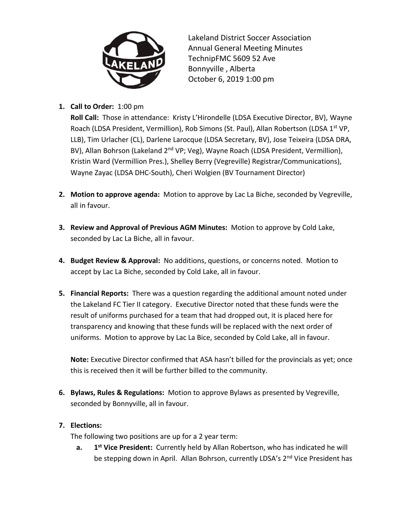

Lakeland District Soccer Association Annual General Meeting Minutes TechnipFMC 5609 52 Ave Bonnyville , Alberta October 6, 2019 1:00 pm

## **1. Call to Order:** 1:00 pm

**Roll Call:** Those in attendance: Kristy L'Hirondelle (LDSA Executive Director, BV), Wayne Roach (LDSA President, Vermillion), Rob Simons (St. Paul), Allan Robertson (LDSA 1<sup>st</sup> VP, LLB), Tim Urlacher (CL), Darlene Larocque (LDSA Secretary, BV), Jose Teixeira (LDSA DRA, BV), Allan Bohrson (Lakeland 2<sup>nd</sup> VP; Veg), Wayne Roach (LDSA President, Vermillion), Kristin Ward (Vermillion Pres.), Shelley Berry (Vegreville) Registrar/Communications), Wayne Zayac (LDSA DHC-South), Cheri Wolgien (BV Tournament Director)

- **2. Motion to approve agenda:** Motion to approve by Lac La Biche, seconded by Vegreville, all in favour.
- **3. Review and Approval of Previous AGM Minutes:** Motion to approve by Cold Lake, seconded by Lac La Biche, all in favour.
- **4. Budget Review & Approval:** No additions, questions, or concerns noted. Motion to accept by Lac La Biche, seconded by Cold Lake, all in favour.
- **5. Financial Reports:** There was a question regarding the additional amount noted under the Lakeland FC Tier II category. Executive Director noted that these funds were the result of uniforms purchased for a team that had dropped out, it is placed here for transparency and knowing that these funds will be replaced with the next order of uniforms. Motion to approve by Lac La Bice, seconded by Cold Lake, all in favour.

**Note:** Executive Director confirmed that ASA hasn't billed for the provincials as yet; once this is received then it will be further billed to the community.

**6. Bylaws, Rules & Regulations:** Motion to approve Bylaws as presented by Vegreville, seconded by Bonnyville, all in favour.

## **7. Elections:**

The following two positions are up for a 2 year term:

**a. 1 1st** Vice President: Currently held by Allan Robertson, who has indicated he will be stepping down in April. Allan Bohrson, currently LDSA's 2<sup>nd</sup> Vice President has